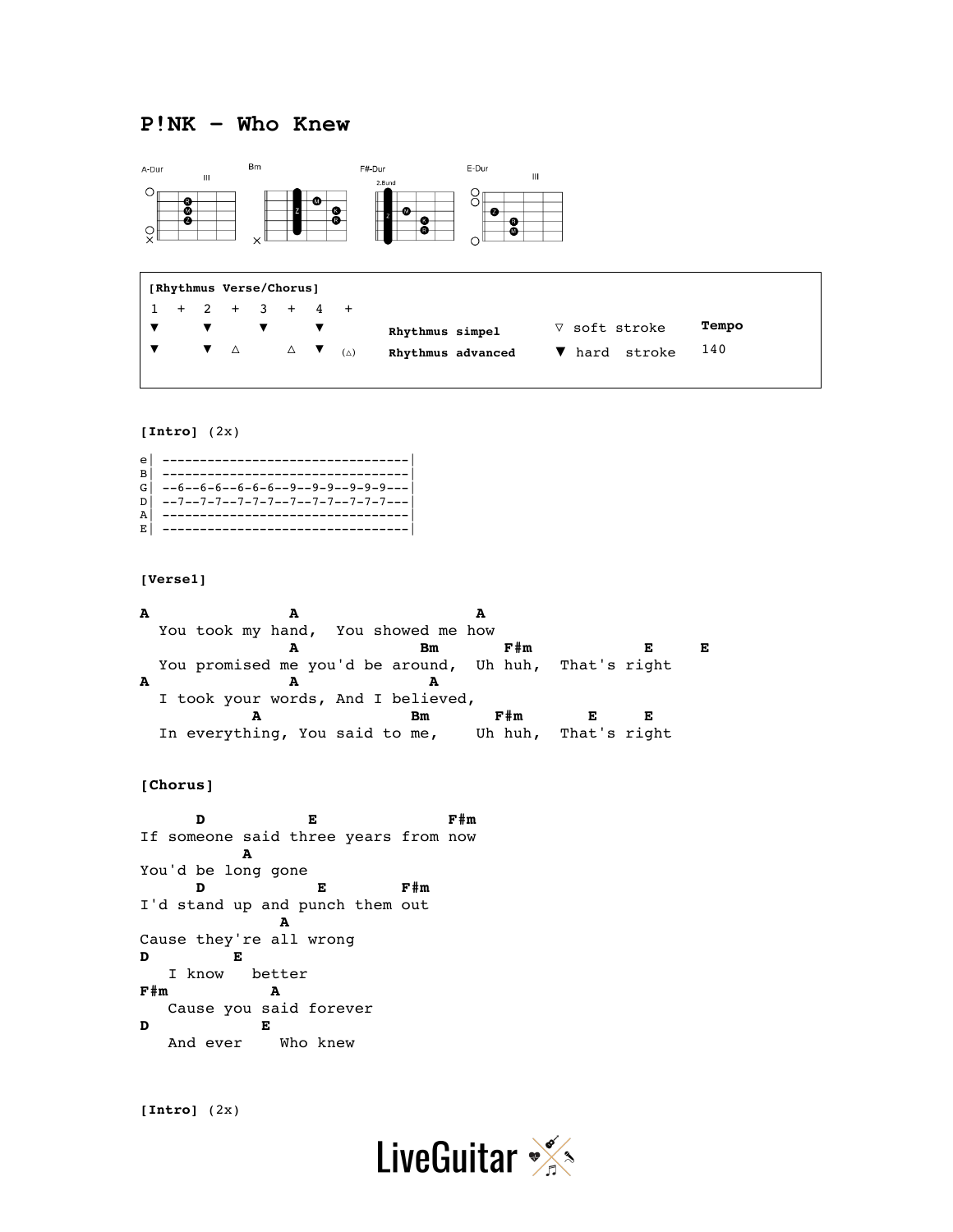# **P!NK – Who Knew**



| [Rhythmus Verse/Chorus] |  |  |  |  |                                                                                                              |  |  |                   |                      |       |
|-------------------------|--|--|--|--|--------------------------------------------------------------------------------------------------------------|--|--|-------------------|----------------------|-------|
|                         |  |  |  |  | $1 + 2 + 3 + 4 +$                                                                                            |  |  |                   |                      |       |
|                         |  |  |  |  |                                                                                                              |  |  | Rhythmus simpel   | $\nabla$ soft stroke | Tempo |
|                         |  |  |  |  | $\blacktriangledown$ $\blacktriangledown$ $\triangle$ $\blacktriangle$ $\blacktriangledown$ $_{(\triangle)}$ |  |  | Rhythmus advanced | ▼ hard stroke        | 140   |
|                         |  |  |  |  |                                                                                                              |  |  |                   |                      |       |

## **[Intro]** (2x)

| $\mathbf{e}$   |                                                |
|----------------|------------------------------------------------|
| $\overline{B}$ |                                                |
|                | $G$ --6--6-6--6-6-6--9--9-9--9-9-9----         |
|                | $D$ $\vert$ --7--7-7--7-7-7--7--7-7-7-7-7-7--- |
| $\overline{A}$ |                                                |
| E.             |                                                |

#### **[Verse1]**

| A | A                                   |                                                       |                      |
|---|-------------------------------------|-------------------------------------------------------|----------------------|
|   | You took my hand, You showed me how |                                                       |                      |
|   |                                     | $F \# m$<br>Bm                                        | E                    |
|   |                                     | You promised me you'd be around, Uh huh, That's right |                      |
| A |                                     |                                                       |                      |
|   | I took your words, And I believed,  |                                                       |                      |
|   |                                     | F#m<br>Bm                                             |                      |
|   | In everything, You said to me,      |                                                       | Uh huh, That's right |

#### **[Chorus]**

**D E F#m** If someone said three years from now **A** You'd be long gone **D E F#m** I'd stand up and punch them out **A** Cause they're all wrong **D E** I know better **F#m A** Cause you said forever **D E**  And ever Who knew

**[Intro]** (2x)

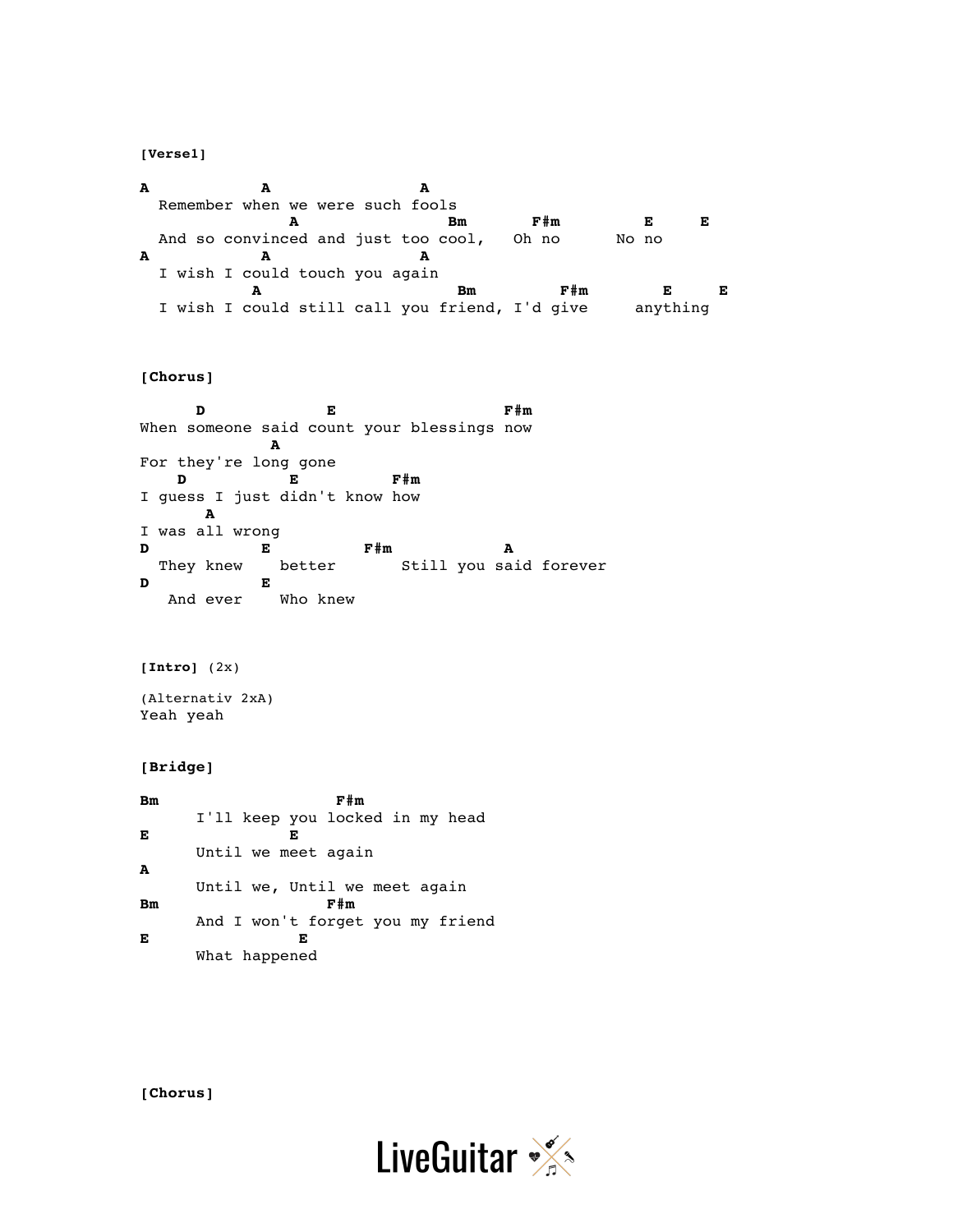**[Verse1]**

**A A A** Remember when we were such fools  **A Bm F#m E E** And so convinced and just too cool, Oh no No no **A A A** I wish I could touch you again **A Bm F#m E E** I wish I could still call you friend, I'd give anything

## **[Chorus]**

**D E F#m** When someone said count your blessings now **A** For they're long gone **D E F#m** I guess I just didn't know how **A** I was all wrong **D E F#m A** They knew better Still you said forever **D E** And ever Who knew

**[Intro]** (2x)

(Alternativ 2xA) Yeah yeah

### **[Bridge]**

**Bm** F#m I'll keep you locked in my head **E E** Until we meet again **A** Until we, Until we meet again **Bm F#m** And I won't forget you my friend **E E** What happened

**[Chorus]**